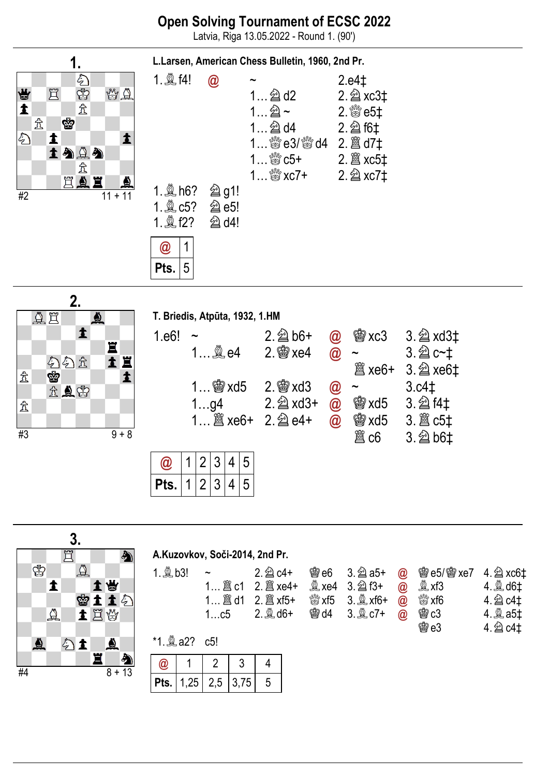Latvia, Riga 13.05.2022 - Round 1. (90')





 $\overline{\phantom{a}}$ 

|       | T. Briedis, Atpūta, 1932, 1.HM           |                          |               |      |                       |
|-------|------------------------------------------|--------------------------|---------------|------|-----------------------|
| 1.e6! |                                          | $2.\n\hat{\otimes}\,66+$ | $\bm{\varpi}$ |      | <b>@xc3</b> 3. 2 xd3‡ |
|       |                                          |                          | $\circleda$   |      | $3.2 c-t$             |
|       |                                          |                          |               |      | $3.\n  2 xe6†$        |
|       | 1 $\mathscr{B}$ xd5 2. $\mathscr{B}$ xd3 |                          | $\bm{\varpi}$ |      | 3.c4 <sub>1</sub>     |
|       | 1…g4                                     |                          | $\circleda$   |      | <b>@ xd5 3. 2 f4t</b> |
|       | 1 2 xe6+ 2. 2 e4+                        |                          | $\bm{\varpi}$ |      |                       |
|       |                                          |                          |               | 闔 c6 | 3. 2b6‡               |
|       |                                          |                          |               |      |                       |

|  |         | ر۔              | 4 | $\Delta$ |
|--|---------|-----------------|---|----------|
|  | $\cdot$ | $\overline{13}$ | 4 | h        |

|    |   |          | 3. |          |   |          |            |     |     |      |                                |                  |                |             |                       |                   |
|----|---|----------|----|----------|---|----------|------------|-----|-----|------|--------------------------------|------------------|----------------|-------------|-----------------------|-------------------|
|    |   |          | ٣  |          |   | a)       |            |     |     |      | A.Kuzovkov, Soči-2014, 2nd Pr. |                  |                |             |                       |                   |
|    | ♔ |          |    | $\Delta$ |   |          | 1. $Q$ b3! |     |     |      | $2.\n  2$ c4+                  | <b>鬱e6</b>       | $3.\n  2$ a5+  | $\circledR$ | <b>曾e5/曾xe7</b>       | 4. $\hat{2}$ xc6‡ |
|    |   |          |    |          |   | 骨        |            |     |     |      | 2. 2 xe4+                      | $\mathbb{R}$ xe4 | $3.\n  2$ f3+  | @           | $\mathbb{Q}$ xf3      | 4.  d6‡           |
|    |   |          |    | ♔        |   | ままら      |            |     |     |      |                                | ৠ% xf5           | $3.$ $\&$ xf6+ | @           | $\frac{100}{100}$ xf6 | 4. 2 c4‡          |
|    |   | $\Delta$ |    |          |   | 土耳曾      |            |     | 1c5 |      | $2.2$ d6+                      | <b>鬱d4</b>       | 3. 凰 c7+       | $\circleda$ | 会 c3                  | 4. இ a5‡          |
|    |   |          |    |          |   |          |            |     |     |      |                                |                  |                |             | 曾e3                   | 4. 2 c4‡          |
|    | ₫ |          |    |          |   | ♨        |            |     | c5! |      |                                |                  |                |             |                       |                   |
|    |   |          |    |          | 罝 | A        | @          |     |     | 3    | 4                              |                  |                |             |                       |                   |
| #4 |   |          |    |          |   | $8 + 13$ | Pts.       | ,25 | 2,5 | 3,75 | 5                              |                  |                |             |                       |                   |
|    |   |          |    |          |   |          |            |     |     |      |                                |                  |                |             |                       |                   |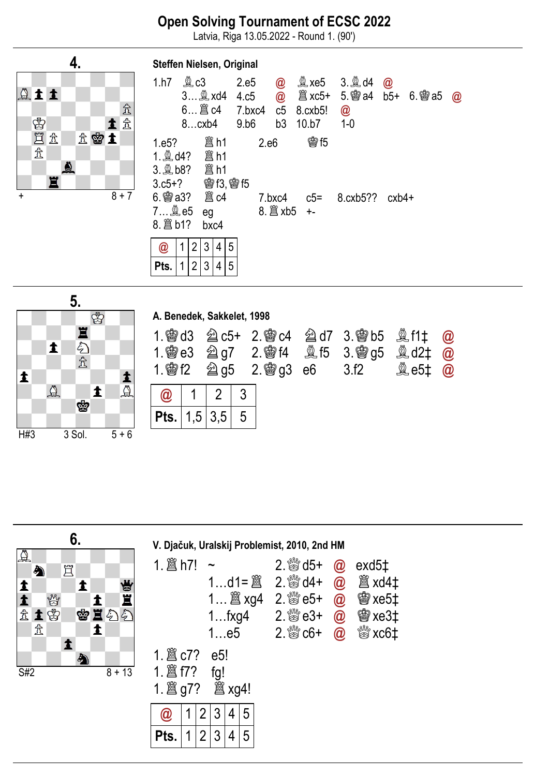Latvia, Riga 13.05.2022 - Round 1. (90')



| Steffen Nielsen, Original                                                                  |  |                |   |            |   |                                                                   |      |                     |                                                                 |              |             |       |          |
|--------------------------------------------------------------------------------------------|--|----------------|---|------------|---|-------------------------------------------------------------------|------|---------------------|-----------------------------------------------------------------|--------------|-------------|-------|----------|
| 1.h7                                                                                       |  | <b>奧c3</b>     |   |            |   | 2.e5<br>3 txd4 4.c5<br>$6$ $8 \text{ c}4$ 7.bxc4 c5<br>8cxb4 9.b6 |      | $\bm{\omega}$<br>b3 | $\mathbb{Q}$ xe5 3. $\mathbb{Q}$ d4<br>$8.$ $cx$ $b5!$<br>10.b7 | @<br>$1 - 0$ | $\circleda$ |       | $\omega$ |
| 1. td4? ■ h1<br>3. the? ■ h1<br>$3. c5 + ?$ @ f3, @ f5<br>$6.$ 臠 a3? $\;$ 闔 c4<br>8. 2 b1? |  |                |   | eg<br>bxc4 |   |                                                                   | 2.e6 | 7.bxc4              | <b>魯15</b><br>$c5 = 8.cxb5?$                                    |              |             | cxb4+ |          |
| $\bm{\omega}$                                                                              |  | $\overline{2}$ | 3 | 4          | 5 |                                                                   |      |                     |                                                                 |              |             |       |          |
| Pts.                                                                                       |  | 2              | 3 | 4          | 5 |                                                                   |      |                     |                                                                 |              |             |       |          |



|                                             | A. Benedek, Sakkelet, 1998 |     |  |                      |                 |                                                            |                              |                                          |
|---------------------------------------------|----------------------------|-----|--|----------------------|-----------------|------------------------------------------------------------|------------------------------|------------------------------------------|
| <b>图 d3</b><br>$1.$ 鬱 e $3$<br>$1.$ 鬱 f $2$ |                            |     |  | <b>②g5</b> 2. 曾g3 e6 | <b>鱼f5 3. 曾</b> | <b>②c5+ 2.廖c4 2d7 3.廖b5 ③f1‡</b><br>g <sub>5</sub><br>3.f2 | <b>奠 d2‡</b><br><b>A</b> e5‡ | $\circleda$<br>@<br>$^{\textregistered}$ |
|                                             |                            |     |  |                      |                 |                                                            |                              |                                          |
| Pts.                                        | 5,                         | 3.5 |  |                      |                 |                                                            |                              |                                          |

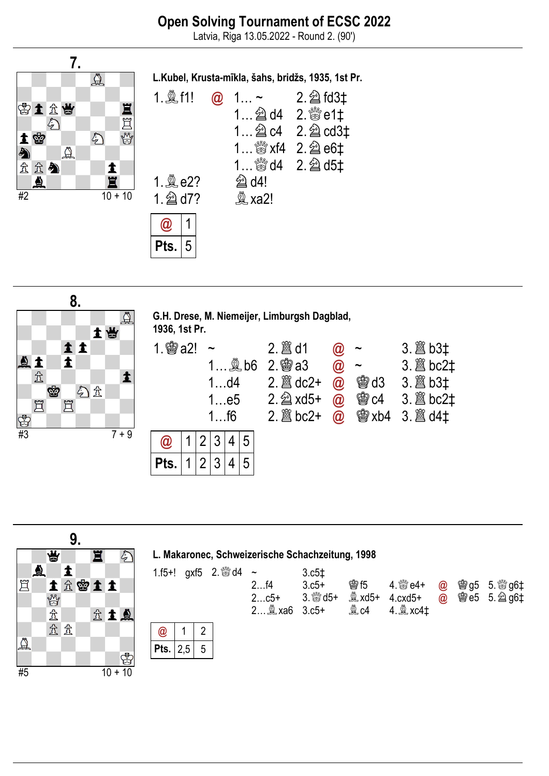Latvia, Riga 13.05.2022 - Round 2. (90')